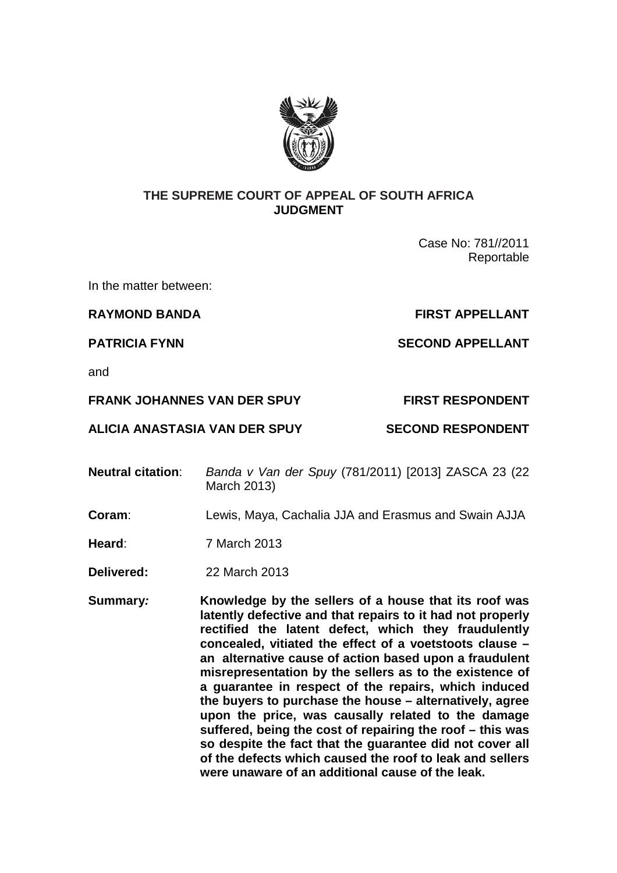

## **THE SUPREME COURT OF APPEAL OF SOUTH AFRICA JUDGMENT**

Case No: 781//2011 Reportable

In the matter between:

**RAYMOND BANDA FIRST APPELLANT** 

**PATRICIA FYNN SECOND APPELLANT** 

and

**FRANK JOHANNES VAN DER SPUY FIRST RESPONDENT** 

**ALICIA ANASTASIA VAN DER SPUY SECOND RESPONDENT** 

- **Neutral citation**: Banda v Van der Spuy (781/2011) [2013] ZASCA 23 (22 March 2013)
- **Coram**: Lewis, Maya, Cachalia JJA and Erasmus and Swain AJJA
- **Heard**: 7 March 2013
- **Delivered:** 22 March 2013
- **Summary: Knowledge by the sellers of a house that its roof was latently defective and that repairs to it had not properly rectified the latent defect, which they fraudulently concealed, vitiated the effect of a voetstoots clause – an alternative cause of action based upon a fraudulent misrepresentation by the sellers as to the existence of a guarantee in respect of the repairs, which induced the buyers to purchase the house – alternatively, agree upon the price, was causally related to the damage suffered, being the cost of repairing the roof – this was so despite the fact that the guarantee did not cover all of the defects which caused the roof to leak and sellers were unaware of an additional cause of the leak.**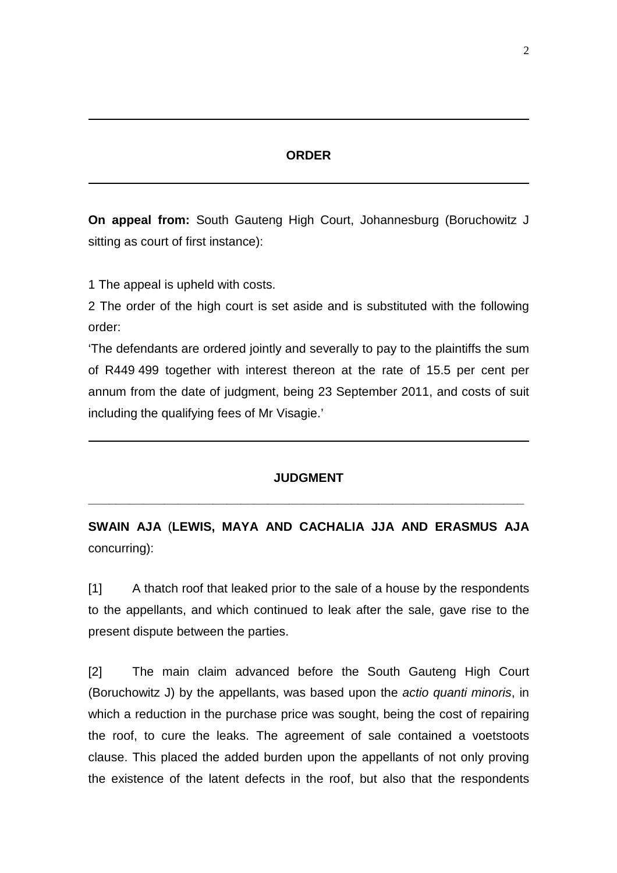## **ORDER**

**On appeal from:** South Gauteng High Court, Johannesburg (Boruchowitz J sitting as court of first instance):

1 The appeal is upheld with costs.

2 The order of the high court is set aside and is substituted with the following order:

'The defendants are ordered jointly and severally to pay to the plaintiffs the sum of R449 499 together with interest thereon at the rate of 15.5 per cent per annum from the date of judgment, being 23 September 2011, and costs of suit including the qualifying fees of Mr Visagie.'

## **JUDGMENT**

**\_\_\_\_\_\_\_\_\_\_\_\_\_\_\_\_\_\_\_\_\_\_\_\_\_\_\_\_\_\_\_\_\_\_\_\_\_\_\_\_\_\_\_\_\_\_\_\_\_\_\_\_\_\_\_\_\_\_\_\_\_\_\_** 

**SWAIN AJA** (**LEWIS, MAYA AND CACHALIA JJA AND ERASMUS AJA** concurring):

[1] A thatch roof that leaked prior to the sale of a house by the respondents to the appellants, and which continued to leak after the sale, gave rise to the present dispute between the parties.

[2] The main claim advanced before the South Gauteng High Court (Boruchowitz J) by the appellants, was based upon the actio quanti minoris, in which a reduction in the purchase price was sought, being the cost of repairing the roof, to cure the leaks. The agreement of sale contained a voetstoots clause. This placed the added burden upon the appellants of not only proving the existence of the latent defects in the roof, but also that the respondents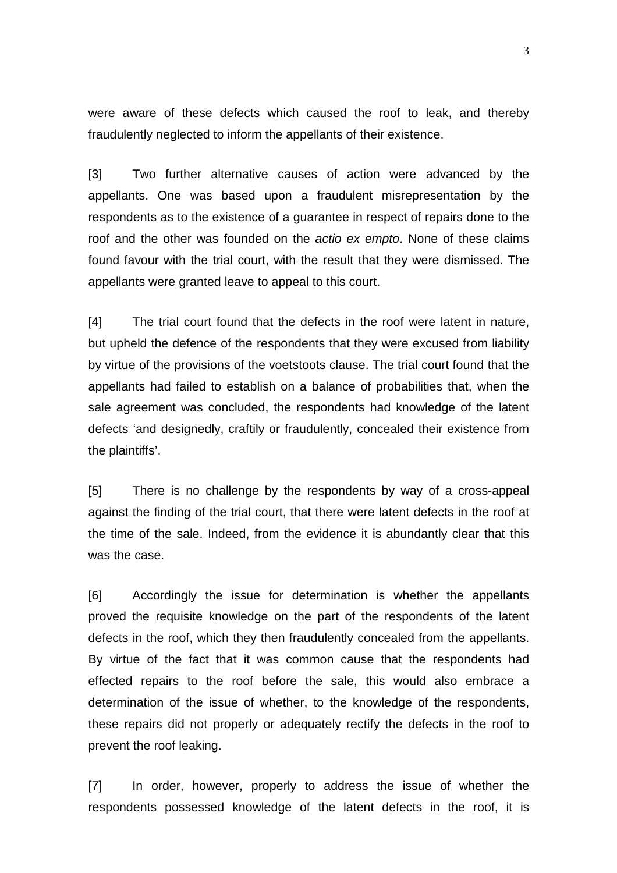were aware of these defects which caused the roof to leak, and thereby fraudulently neglected to inform the appellants of their existence.

[3] Two further alternative causes of action were advanced by the appellants. One was based upon a fraudulent misrepresentation by the respondents as to the existence of a guarantee in respect of repairs done to the roof and the other was founded on the actio ex empto. None of these claims found favour with the trial court, with the result that they were dismissed. The appellants were granted leave to appeal to this court.

[4] The trial court found that the defects in the roof were latent in nature, but upheld the defence of the respondents that they were excused from liability by virtue of the provisions of the voetstoots clause. The trial court found that the appellants had failed to establish on a balance of probabilities that, when the sale agreement was concluded, the respondents had knowledge of the latent defects 'and designedly, craftily or fraudulently, concealed their existence from the plaintiffs'.

[5] There is no challenge by the respondents by way of a cross-appeal against the finding of the trial court, that there were latent defects in the roof at the time of the sale. Indeed, from the evidence it is abundantly clear that this was the case.

[6] Accordingly the issue for determination is whether the appellants proved the requisite knowledge on the part of the respondents of the latent defects in the roof, which they then fraudulently concealed from the appellants. By virtue of the fact that it was common cause that the respondents had effected repairs to the roof before the sale, this would also embrace a determination of the issue of whether, to the knowledge of the respondents, these repairs did not properly or adequately rectify the defects in the roof to prevent the roof leaking.

[7] In order, however, properly to address the issue of whether the respondents possessed knowledge of the latent defects in the roof, it is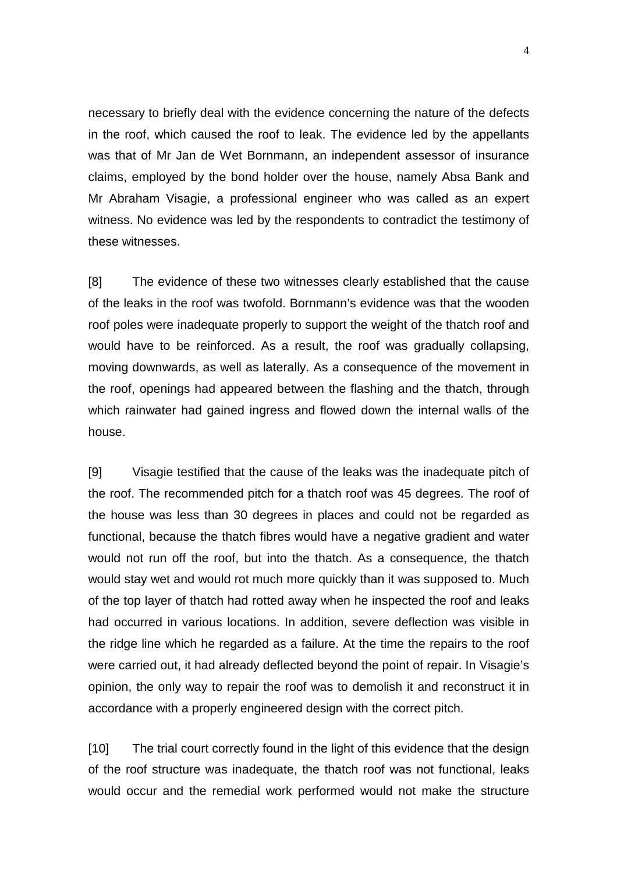necessary to briefly deal with the evidence concerning the nature of the defects in the roof, which caused the roof to leak. The evidence led by the appellants was that of Mr Jan de Wet Bornmann, an independent assessor of insurance claims, employed by the bond holder over the house, namely Absa Bank and Mr Abraham Visagie, a professional engineer who was called as an expert witness. No evidence was led by the respondents to contradict the testimony of these witnesses.

[8] The evidence of these two witnesses clearly established that the cause of the leaks in the roof was twofold. Bornmann's evidence was that the wooden roof poles were inadequate properly to support the weight of the thatch roof and would have to be reinforced. As a result, the roof was gradually collapsing, moving downwards, as well as laterally. As a consequence of the movement in the roof, openings had appeared between the flashing and the thatch, through which rainwater had gained ingress and flowed down the internal walls of the house.

[9] Visagie testified that the cause of the leaks was the inadequate pitch of the roof. The recommended pitch for a thatch roof was 45 degrees. The roof of the house was less than 30 degrees in places and could not be regarded as functional, because the thatch fibres would have a negative gradient and water would not run off the roof, but into the thatch. As a consequence, the thatch would stay wet and would rot much more quickly than it was supposed to. Much of the top layer of thatch had rotted away when he inspected the roof and leaks had occurred in various locations. In addition, severe deflection was visible in the ridge line which he regarded as a failure. At the time the repairs to the roof were carried out, it had already deflected beyond the point of repair. In Visagie's opinion, the only way to repair the roof was to demolish it and reconstruct it in accordance with a properly engineered design with the correct pitch.

[10] The trial court correctly found in the light of this evidence that the design of the roof structure was inadequate, the thatch roof was not functional, leaks would occur and the remedial work performed would not make the structure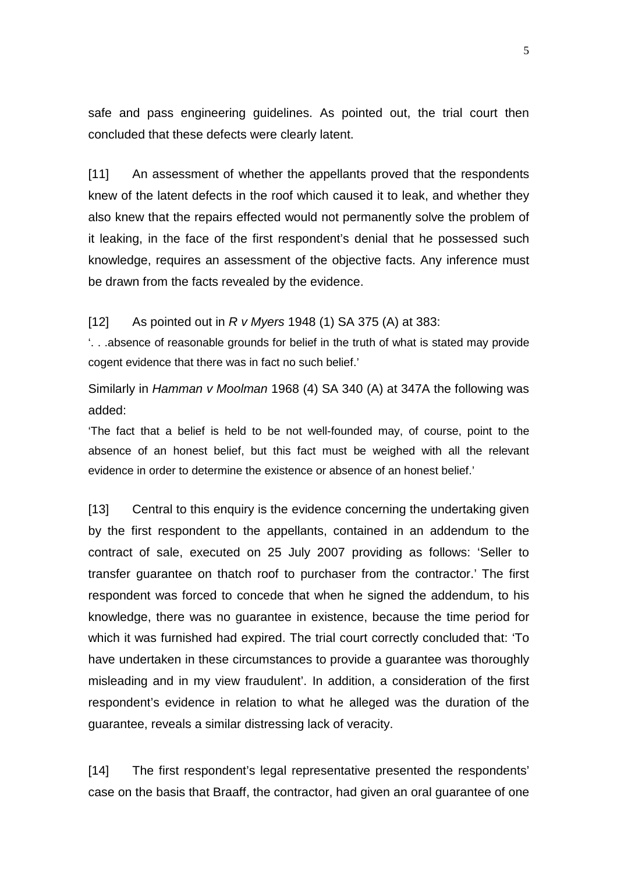safe and pass engineering guidelines. As pointed out, the trial court then concluded that these defects were clearly latent.

[11] An assessment of whether the appellants proved that the respondents knew of the latent defects in the roof which caused it to leak, and whether they also knew that the repairs effected would not permanently solve the problem of it leaking, in the face of the first respondent's denial that he possessed such knowledge, requires an assessment of the objective facts. Any inference must be drawn from the facts revealed by the evidence.

## [12] As pointed out in  $R \vee M$ yers 1948 (1) SA 375 (A) at 383:

'. . .absence of reasonable grounds for belief in the truth of what is stated may provide cogent evidence that there was in fact no such belief.'

Similarly in Hamman v Moolman 1968 (4) SA 340 (A) at 347A the following was added:

'The fact that a belief is held to be not well-founded may, of course, point to the absence of an honest belief, but this fact must be weighed with all the relevant evidence in order to determine the existence or absence of an honest belief.'

[13] Central to this enquiry is the evidence concerning the undertaking given by the first respondent to the appellants, contained in an addendum to the contract of sale, executed on 25 July 2007 providing as follows: 'Seller to transfer guarantee on thatch roof to purchaser from the contractor.' The first respondent was forced to concede that when he signed the addendum, to his knowledge, there was no guarantee in existence, because the time period for which it was furnished had expired. The trial court correctly concluded that: 'To have undertaken in these circumstances to provide a guarantee was thoroughly misleading and in my view fraudulent'. In addition, a consideration of the first respondent's evidence in relation to what he alleged was the duration of the guarantee, reveals a similar distressing lack of veracity.

[14] The first respondent's legal representative presented the respondents' case on the basis that Braaff, the contractor, had given an oral guarantee of one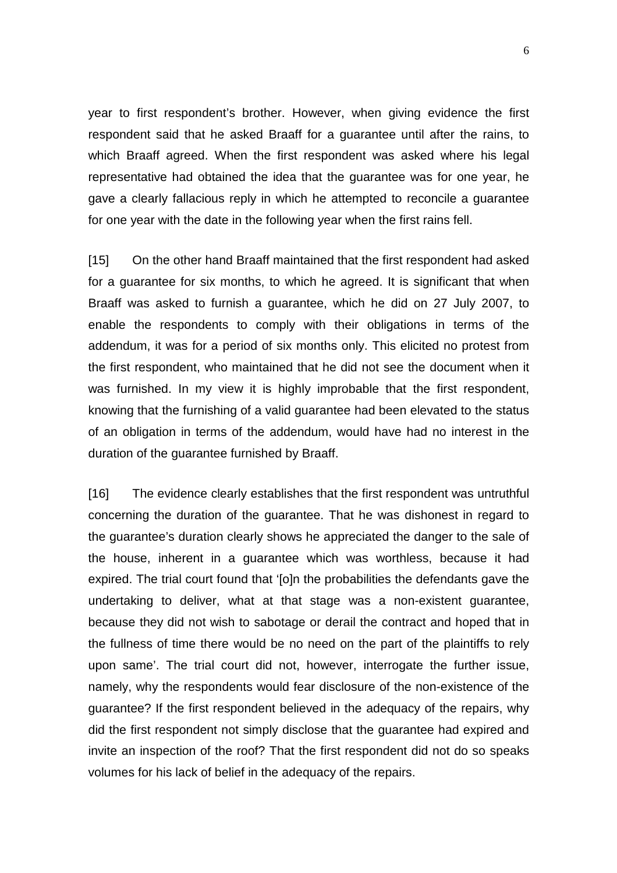year to first respondent's brother. However, when giving evidence the first respondent said that he asked Braaff for a guarantee until after the rains, to which Braaff agreed. When the first respondent was asked where his legal representative had obtained the idea that the guarantee was for one year, he gave a clearly fallacious reply in which he attempted to reconcile a guarantee for one year with the date in the following year when the first rains fell.

[15] On the other hand Braaff maintained that the first respondent had asked for a guarantee for six months, to which he agreed. It is significant that when Braaff was asked to furnish a guarantee, which he did on 27 July 2007, to enable the respondents to comply with their obligations in terms of the addendum, it was for a period of six months only. This elicited no protest from the first respondent, who maintained that he did not see the document when it was furnished. In my view it is highly improbable that the first respondent, knowing that the furnishing of a valid guarantee had been elevated to the status of an obligation in terms of the addendum, would have had no interest in the duration of the guarantee furnished by Braaff.

[16] The evidence clearly establishes that the first respondent was untruthful concerning the duration of the guarantee. That he was dishonest in regard to the guarantee's duration clearly shows he appreciated the danger to the sale of the house, inherent in a guarantee which was worthless, because it had expired. The trial court found that '[o]n the probabilities the defendants gave the undertaking to deliver, what at that stage was a non-existent guarantee, because they did not wish to sabotage or derail the contract and hoped that in the fullness of time there would be no need on the part of the plaintiffs to rely upon same'. The trial court did not, however, interrogate the further issue, namely, why the respondents would fear disclosure of the non-existence of the guarantee? If the first respondent believed in the adequacy of the repairs, why did the first respondent not simply disclose that the guarantee had expired and invite an inspection of the roof? That the first respondent did not do so speaks volumes for his lack of belief in the adequacy of the repairs.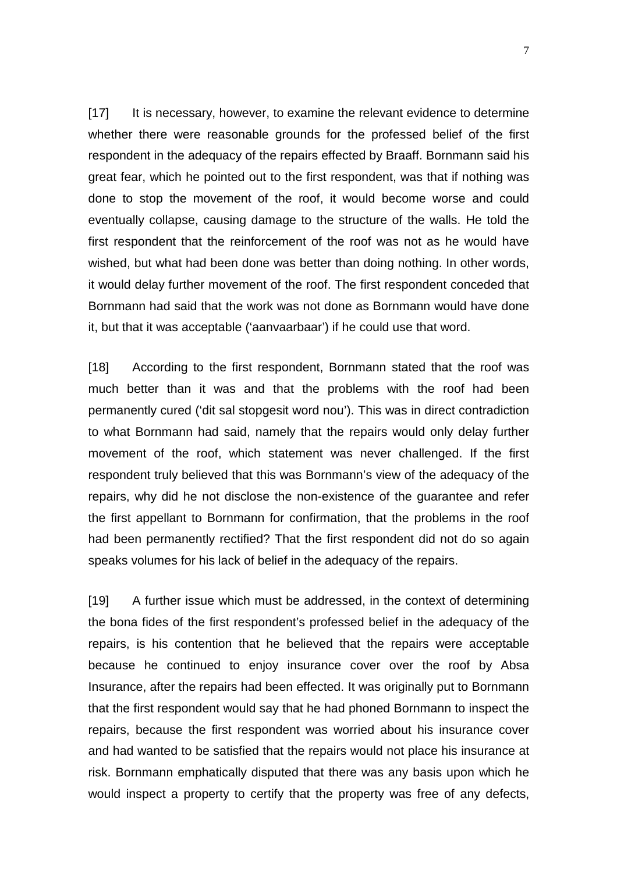[17] It is necessary, however, to examine the relevant evidence to determine whether there were reasonable grounds for the professed belief of the first respondent in the adequacy of the repairs effected by Braaff. Bornmann said his great fear, which he pointed out to the first respondent, was that if nothing was done to stop the movement of the roof, it would become worse and could eventually collapse, causing damage to the structure of the walls. He told the first respondent that the reinforcement of the roof was not as he would have wished, but what had been done was better than doing nothing. In other words, it would delay further movement of the roof. The first respondent conceded that Bornmann had said that the work was not done as Bornmann would have done it, but that it was acceptable ('aanvaarbaar') if he could use that word.

[18] According to the first respondent, Bornmann stated that the roof was much better than it was and that the problems with the roof had been permanently cured ('dit sal stopgesit word nou'). This was in direct contradiction to what Bornmann had said, namely that the repairs would only delay further movement of the roof, which statement was never challenged. If the first respondent truly believed that this was Bornmann's view of the adequacy of the repairs, why did he not disclose the non-existence of the guarantee and refer the first appellant to Bornmann for confirmation, that the problems in the roof had been permanently rectified? That the first respondent did not do so again speaks volumes for his lack of belief in the adequacy of the repairs.

[19] A further issue which must be addressed, in the context of determining the bona fides of the first respondent's professed belief in the adequacy of the repairs, is his contention that he believed that the repairs were acceptable because he continued to enjoy insurance cover over the roof by Absa Insurance, after the repairs had been effected. It was originally put to Bornmann that the first respondent would say that he had phoned Bornmann to inspect the repairs, because the first respondent was worried about his insurance cover and had wanted to be satisfied that the repairs would not place his insurance at risk. Bornmann emphatically disputed that there was any basis upon which he would inspect a property to certify that the property was free of any defects,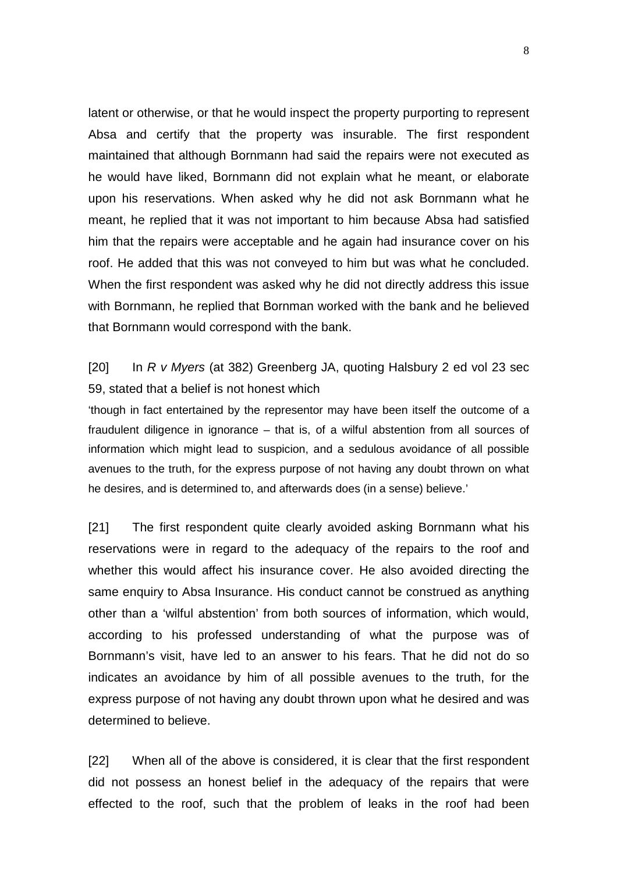latent or otherwise, or that he would inspect the property purporting to represent Absa and certify that the property was insurable. The first respondent maintained that although Bornmann had said the repairs were not executed as he would have liked, Bornmann did not explain what he meant, or elaborate upon his reservations. When asked why he did not ask Bornmann what he meant, he replied that it was not important to him because Absa had satisfied him that the repairs were acceptable and he again had insurance cover on his roof. He added that this was not conveyed to him but was what he concluded. When the first respondent was asked why he did not directly address this issue with Bornmann, he replied that Bornman worked with the bank and he believed that Bornmann would correspond with the bank.

[20] In R v Myers (at 382) Greenberg JA, quoting Halsbury 2 ed vol 23 sec 59, stated that a belief is not honest which

'though in fact entertained by the representor may have been itself the outcome of a fraudulent diligence in ignorance – that is, of a wilful abstention from all sources of information which might lead to suspicion, and a sedulous avoidance of all possible avenues to the truth, for the express purpose of not having any doubt thrown on what he desires, and is determined to, and afterwards does (in a sense) believe.'

[21] The first respondent quite clearly avoided asking Bornmann what his reservations were in regard to the adequacy of the repairs to the roof and whether this would affect his insurance cover. He also avoided directing the same enquiry to Absa Insurance. His conduct cannot be construed as anything other than a 'wilful abstention' from both sources of information, which would, according to his professed understanding of what the purpose was of Bornmann's visit, have led to an answer to his fears. That he did not do so indicates an avoidance by him of all possible avenues to the truth, for the express purpose of not having any doubt thrown upon what he desired and was determined to believe.

[22] When all of the above is considered, it is clear that the first respondent did not possess an honest belief in the adequacy of the repairs that were effected to the roof, such that the problem of leaks in the roof had been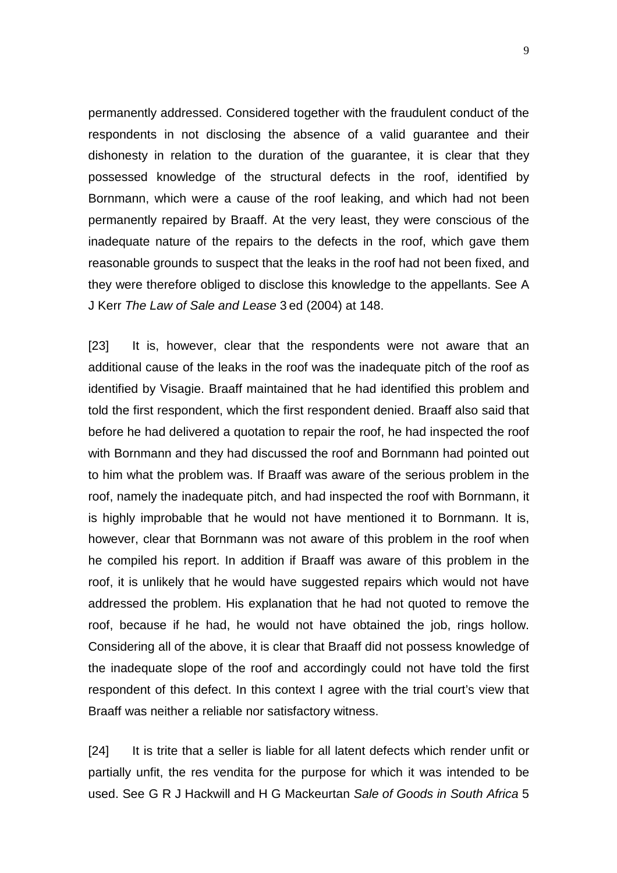permanently addressed. Considered together with the fraudulent conduct of the respondents in not disclosing the absence of a valid guarantee and their dishonesty in relation to the duration of the guarantee, it is clear that they possessed knowledge of the structural defects in the roof, identified by Bornmann, which were a cause of the roof leaking, and which had not been permanently repaired by Braaff. At the very least, they were conscious of the inadequate nature of the repairs to the defects in the roof, which gave them reasonable grounds to suspect that the leaks in the roof had not been fixed, and they were therefore obliged to disclose this knowledge to the appellants. See A J Kerr The Law of Sale and Lease 3 ed (2004) at 148.

[23] It is, however, clear that the respondents were not aware that an additional cause of the leaks in the roof was the inadequate pitch of the roof as identified by Visagie. Braaff maintained that he had identified this problem and told the first respondent, which the first respondent denied. Braaff also said that before he had delivered a quotation to repair the roof, he had inspected the roof with Bornmann and they had discussed the roof and Bornmann had pointed out to him what the problem was. If Braaff was aware of the serious problem in the roof, namely the inadequate pitch, and had inspected the roof with Bornmann, it is highly improbable that he would not have mentioned it to Bornmann. It is, however, clear that Bornmann was not aware of this problem in the roof when he compiled his report. In addition if Braaff was aware of this problem in the roof, it is unlikely that he would have suggested repairs which would not have addressed the problem. His explanation that he had not quoted to remove the roof, because if he had, he would not have obtained the job, rings hollow. Considering all of the above, it is clear that Braaff did not possess knowledge of the inadequate slope of the roof and accordingly could not have told the first respondent of this defect. In this context I agree with the trial court's view that Braaff was neither a reliable nor satisfactory witness.

[24] It is trite that a seller is liable for all latent defects which render unfit or partially unfit, the res vendita for the purpose for which it was intended to be used. See G R J Hackwill and H G Mackeurtan Sale of Goods in South Africa 5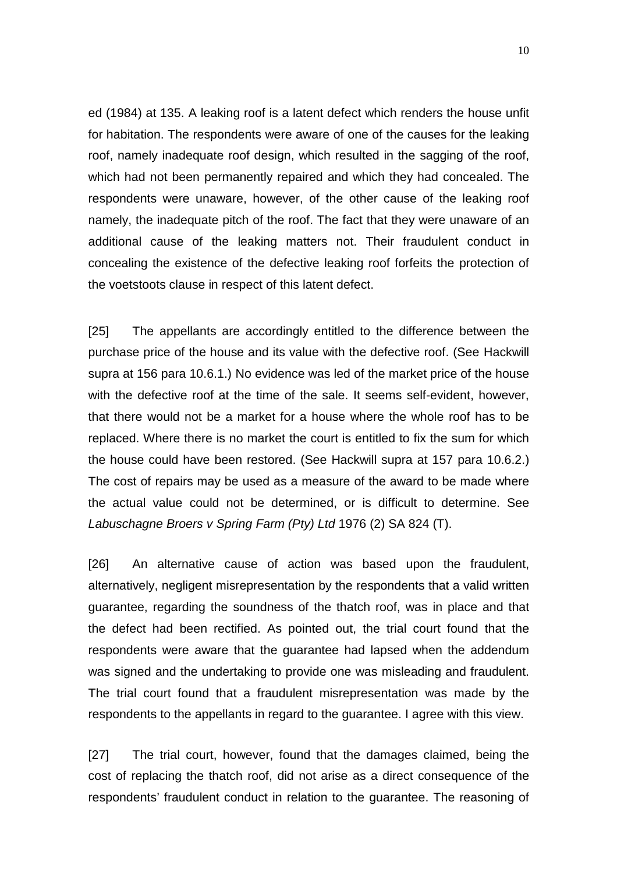ed (1984) at 135. A leaking roof is a latent defect which renders the house unfit for habitation. The respondents were aware of one of the causes for the leaking roof, namely inadequate roof design, which resulted in the sagging of the roof, which had not been permanently repaired and which they had concealed. The respondents were unaware, however, of the other cause of the leaking roof namely, the inadequate pitch of the roof. The fact that they were unaware of an additional cause of the leaking matters not. Their fraudulent conduct in concealing the existence of the defective leaking roof forfeits the protection of the voetstoots clause in respect of this latent defect.

[25] The appellants are accordingly entitled to the difference between the purchase price of the house and its value with the defective roof. (See Hackwill supra at 156 para 10.6.1.) No evidence was led of the market price of the house with the defective roof at the time of the sale. It seems self-evident, however, that there would not be a market for a house where the whole roof has to be replaced. Where there is no market the court is entitled to fix the sum for which the house could have been restored. (See Hackwill supra at 157 para 10.6.2.) The cost of repairs may be used as a measure of the award to be made where the actual value could not be determined, or is difficult to determine. See Labuschagne Broers v Spring Farm (Pty) Ltd 1976 (2) SA 824 (T).

[26] An alternative cause of action was based upon the fraudulent, alternatively, negligent misrepresentation by the respondents that a valid written guarantee, regarding the soundness of the thatch roof, was in place and that the defect had been rectified. As pointed out, the trial court found that the respondents were aware that the guarantee had lapsed when the addendum was signed and the undertaking to provide one was misleading and fraudulent. The trial court found that a fraudulent misrepresentation was made by the respondents to the appellants in regard to the guarantee. I agree with this view.

[27] The trial court, however, found that the damages claimed, being the cost of replacing the thatch roof, did not arise as a direct consequence of the respondents' fraudulent conduct in relation to the guarantee. The reasoning of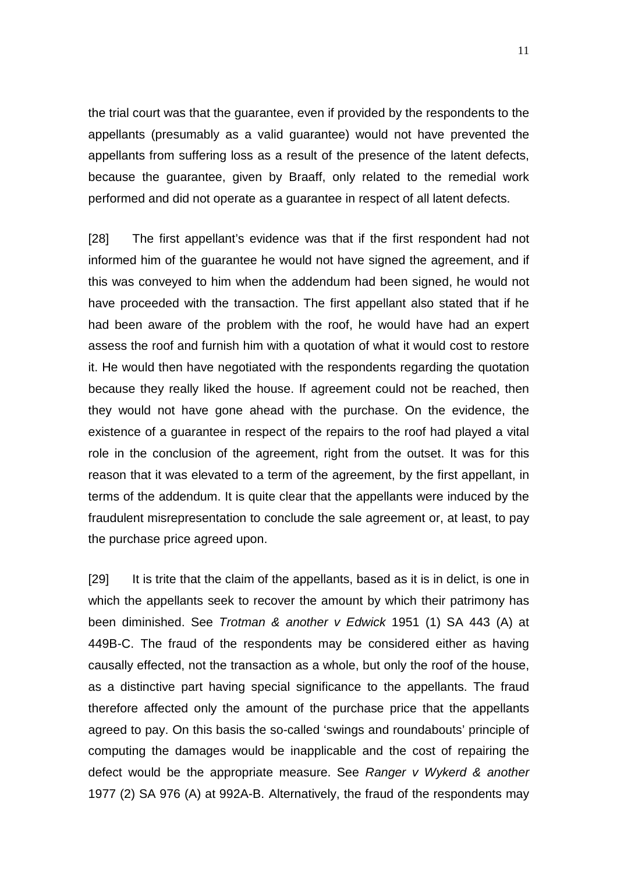the trial court was that the guarantee, even if provided by the respondents to the appellants (presumably as a valid guarantee) would not have prevented the appellants from suffering loss as a result of the presence of the latent defects, because the guarantee, given by Braaff, only related to the remedial work performed and did not operate as a guarantee in respect of all latent defects.

[28] The first appellant's evidence was that if the first respondent had not informed him of the guarantee he would not have signed the agreement, and if this was conveyed to him when the addendum had been signed, he would not have proceeded with the transaction. The first appellant also stated that if he had been aware of the problem with the roof, he would have had an expert assess the roof and furnish him with a quotation of what it would cost to restore it. He would then have negotiated with the respondents regarding the quotation because they really liked the house. If agreement could not be reached, then they would not have gone ahead with the purchase. On the evidence, the existence of a guarantee in respect of the repairs to the roof had played a vital role in the conclusion of the agreement, right from the outset. It was for this reason that it was elevated to a term of the agreement, by the first appellant, in terms of the addendum. It is quite clear that the appellants were induced by the fraudulent misrepresentation to conclude the sale agreement or, at least, to pay the purchase price agreed upon.

[29] It is trite that the claim of the appellants, based as it is in delict, is one in which the appellants seek to recover the amount by which their patrimony has been diminished. See Trotman & another v Edwick 1951 (1) SA 443 (A) at 449B-C. The fraud of the respondents may be considered either as having causally effected, not the transaction as a whole, but only the roof of the house, as a distinctive part having special significance to the appellants. The fraud therefore affected only the amount of the purchase price that the appellants agreed to pay. On this basis the so-called 'swings and roundabouts' principle of computing the damages would be inapplicable and the cost of repairing the defect would be the appropriate measure. See Ranger v Wykerd & another 1977 (2) SA 976 (A) at 992A-B. Alternatively, the fraud of the respondents may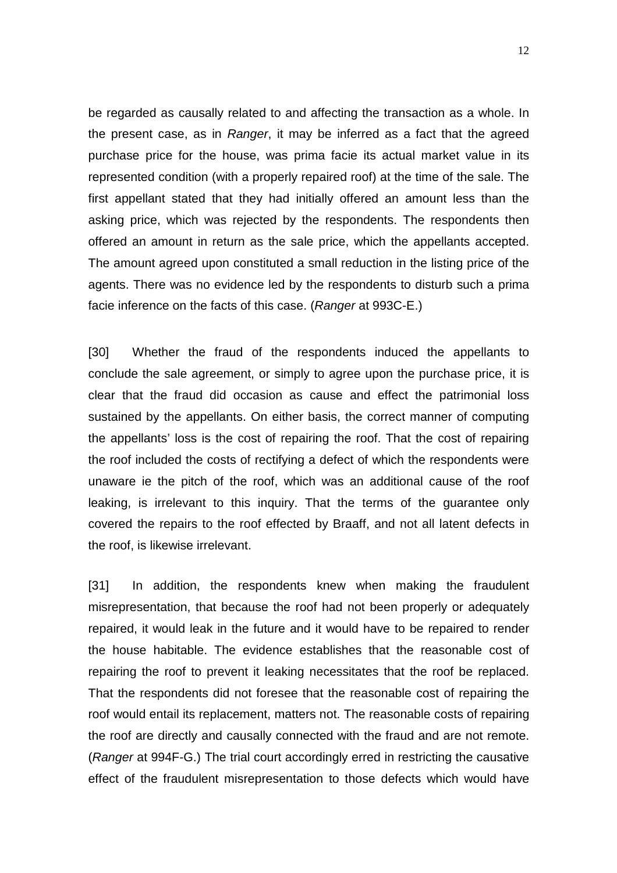be regarded as causally related to and affecting the transaction as a whole. In the present case, as in Ranger, it may be inferred as a fact that the agreed purchase price for the house, was prima facie its actual market value in its represented condition (with a properly repaired roof) at the time of the sale. The first appellant stated that they had initially offered an amount less than the asking price, which was rejected by the respondents. The respondents then offered an amount in return as the sale price, which the appellants accepted. The amount agreed upon constituted a small reduction in the listing price of the agents. There was no evidence led by the respondents to disturb such a prima facie inference on the facts of this case. (Ranger at 993C-E.)

[30] Whether the fraud of the respondents induced the appellants to conclude the sale agreement, or simply to agree upon the purchase price, it is clear that the fraud did occasion as cause and effect the patrimonial loss sustained by the appellants. On either basis, the correct manner of computing the appellants' loss is the cost of repairing the roof. That the cost of repairing the roof included the costs of rectifying a defect of which the respondents were unaware ie the pitch of the roof, which was an additional cause of the roof leaking, is irrelevant to this inquiry. That the terms of the guarantee only covered the repairs to the roof effected by Braaff, and not all latent defects in the roof, is likewise irrelevant.

[31] In addition, the respondents knew when making the fraudulent misrepresentation, that because the roof had not been properly or adequately repaired, it would leak in the future and it would have to be repaired to render the house habitable. The evidence establishes that the reasonable cost of repairing the roof to prevent it leaking necessitates that the roof be replaced. That the respondents did not foresee that the reasonable cost of repairing the roof would entail its replacement, matters not. The reasonable costs of repairing the roof are directly and causally connected with the fraud and are not remote. (Ranger at 994F-G.) The trial court accordingly erred in restricting the causative effect of the fraudulent misrepresentation to those defects which would have

12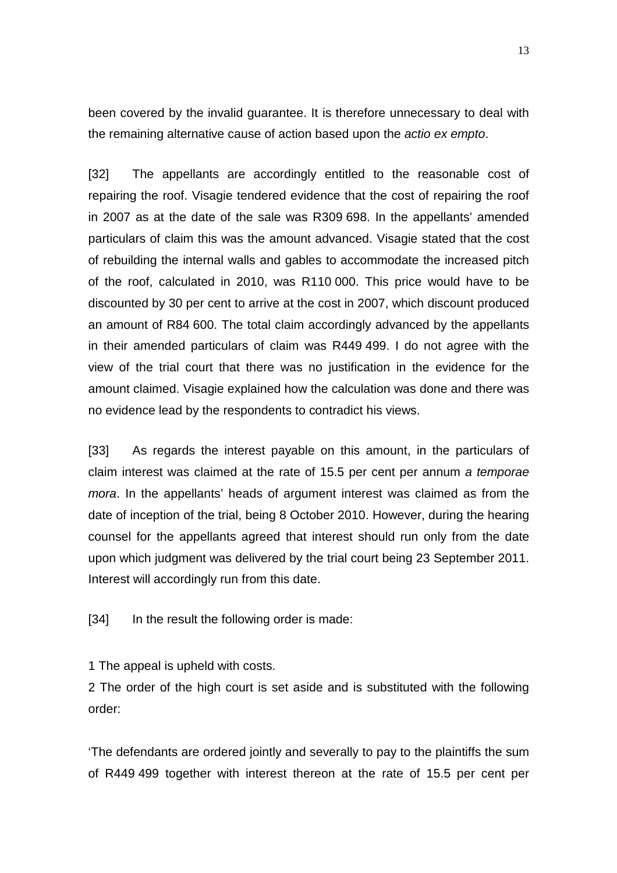been covered by the invalid guarantee. It is therefore unnecessary to deal with the remaining alternative cause of action based upon the actio ex empto.

[32] The appellants are accordingly entitled to the reasonable cost of repairing the roof. Visagie tendered evidence that the cost of repairing the roof in 2007 as at the date of the sale was R309 698. In the appellants' amended particulars of claim this was the amount advanced. Visagie stated that the cost of rebuilding the internal walls and gables to accommodate the increased pitch of the roof, calculated in 2010, was R110 000. This price would have to be discounted by 30 per cent to arrive at the cost in 2007, which discount produced an amount of R84 600. The total claim accordingly advanced by the appellants in their amended particulars of claim was R449 499. I do not agree with the view of the trial court that there was no justification in the evidence for the amount claimed. Visagie explained how the calculation was done and there was no evidence lead by the respondents to contradict his views.

[33] As regards the interest payable on this amount, in the particulars of claim interest was claimed at the rate of 15.5 per cent per annum a temporae mora. In the appellants' heads of argument interest was claimed as from the date of inception of the trial, being 8 October 2010. However, during the hearing counsel for the appellants agreed that interest should run only from the date upon which judgment was delivered by the trial court being 23 September 2011. Interest will accordingly run from this date.

[34] In the result the following order is made:

1 The appeal is upheld with costs.

2 The order of the high court is set aside and is substituted with the following order:

'The defendants are ordered jointly and severally to pay to the plaintiffs the sum of R449 499 together with interest thereon at the rate of 15.5 per cent per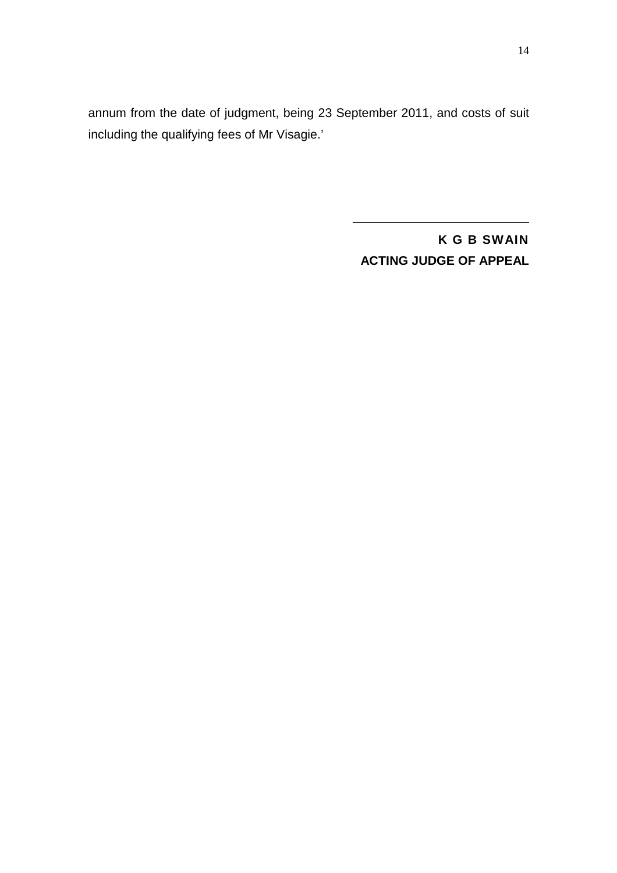annum from the date of judgment, being 23 September 2011, and costs of suit including the qualifying fees of Mr Visagie.'

> **K G B SWAIN ACTING JUDGE OF APPEAL**